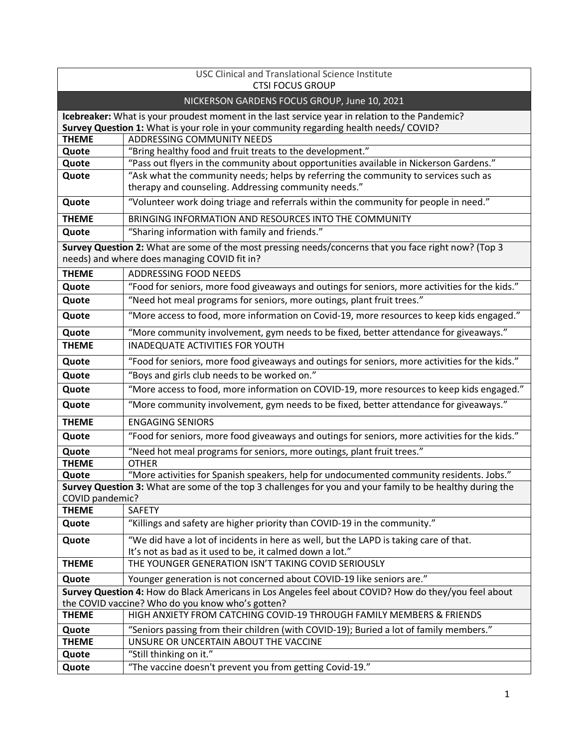| <b>USC Clinical and Translational Science Institute</b><br><b>CTSI FOCUS GROUP</b>                                                                   |                                                                                                                                                   |  |
|------------------------------------------------------------------------------------------------------------------------------------------------------|---------------------------------------------------------------------------------------------------------------------------------------------------|--|
| NICKERSON GARDENS FOCUS GROUP, June 10, 2021                                                                                                         |                                                                                                                                                   |  |
|                                                                                                                                                      |                                                                                                                                                   |  |
|                                                                                                                                                      | Icebreaker: What is your proudest moment in the last service year in relation to the Pandemic?                                                    |  |
| <b>THEME</b>                                                                                                                                         | Survey Question 1: What is your role in your community regarding health needs/ COVID?<br>ADDRESSING COMMUNITY NEEDS                               |  |
| Quote                                                                                                                                                | "Bring healthy food and fruit treats to the development."                                                                                         |  |
| Quote                                                                                                                                                | "Pass out flyers in the community about opportunities available in Nickerson Gardens."                                                            |  |
| Quote                                                                                                                                                | "Ask what the community needs; helps by referring the community to services such as<br>therapy and counseling. Addressing community needs."       |  |
| Quote                                                                                                                                                | "Volunteer work doing triage and referrals within the community for people in need."                                                              |  |
| <b>THEME</b>                                                                                                                                         | BRINGING INFORMATION AND RESOURCES INTO THE COMMUNITY                                                                                             |  |
| Quote                                                                                                                                                | "Sharing information with family and friends."                                                                                                    |  |
| Survey Question 2: What are some of the most pressing needs/concerns that you face right now? (Top 3<br>needs) and where does managing COVID fit in? |                                                                                                                                                   |  |
| <b>THEME</b>                                                                                                                                         | ADDRESSING FOOD NEEDS                                                                                                                             |  |
| Quote                                                                                                                                                | "Food for seniors, more food giveaways and outings for seniors, more activities for the kids."                                                    |  |
| Quote                                                                                                                                                | "Need hot meal programs for seniors, more outings, plant fruit trees."                                                                            |  |
| Quote                                                                                                                                                | "More access to food, more information on Covid-19, more resources to keep kids engaged."                                                         |  |
| Quote                                                                                                                                                | "More community involvement, gym needs to be fixed, better attendance for giveaways."                                                             |  |
| <b>THEME</b>                                                                                                                                         | INADEQUATE ACTIVITIES FOR YOUTH                                                                                                                   |  |
| Quote                                                                                                                                                | "Food for seniors, more food giveaways and outings for seniors, more activities for the kids."                                                    |  |
| Quote                                                                                                                                                | "Boys and girls club needs to be worked on."                                                                                                      |  |
| Quote                                                                                                                                                | "More access to food, more information on COVID-19, more resources to keep kids engaged."                                                         |  |
| Quote                                                                                                                                                | "More community involvement, gym needs to be fixed, better attendance for giveaways."                                                             |  |
| <b>THEME</b>                                                                                                                                         | <b>ENGAGING SENIORS</b>                                                                                                                           |  |
| Quote                                                                                                                                                | "Food for seniors, more food giveaways and outings for seniors, more activities for the kids."                                                    |  |
| Quote                                                                                                                                                | "Need hot meal programs for seniors, more outings, plant fruit trees."                                                                            |  |
| <b>THEME</b>                                                                                                                                         | <b>OTHER</b>                                                                                                                                      |  |
| Quote                                                                                                                                                | "More activities for Spanish speakers, help for undocumented community residents. Jobs."                                                          |  |
| COVID pandemic?                                                                                                                                      | Survey Question 3: What are some of the top 3 challenges for you and your family to be healthy during the                                         |  |
| <b>THEME</b>                                                                                                                                         | <b>SAFETY</b>                                                                                                                                     |  |
| Quote                                                                                                                                                | "Killings and safety are higher priority than COVID-19 in the community."                                                                         |  |
| Quote                                                                                                                                                | "We did have a lot of incidents in here as well, but the LAPD is taking care of that.<br>It's not as bad as it used to be, it calmed down a lot." |  |
| <b>THEME</b>                                                                                                                                         | THE YOUNGER GENERATION ISN'T TAKING COVID SERIOUSLY                                                                                               |  |
| Quote                                                                                                                                                | Younger generation is not concerned about COVID-19 like seniors are."                                                                             |  |
|                                                                                                                                                      | Survey Question 4: How do Black Americans in Los Angeles feel about COVID? How do they/you feel about                                             |  |
|                                                                                                                                                      | the COVID vaccine? Who do you know who's gotten?                                                                                                  |  |
| <b>THEME</b>                                                                                                                                         | HIGH ANXIETY FROM CATCHING COVID-19 THROUGH FAMILY MEMBERS & FRIENDS                                                                              |  |
| Quote                                                                                                                                                | "Seniors passing from their children (with COVID-19); Buried a lot of family members."                                                            |  |
| <b>THEME</b>                                                                                                                                         | UNSURE OR UNCERTAIN ABOUT THE VACCINE                                                                                                             |  |
| Quote                                                                                                                                                | "Still thinking on it."                                                                                                                           |  |
| Quote                                                                                                                                                | "The vaccine doesn't prevent you from getting Covid-19."                                                                                          |  |